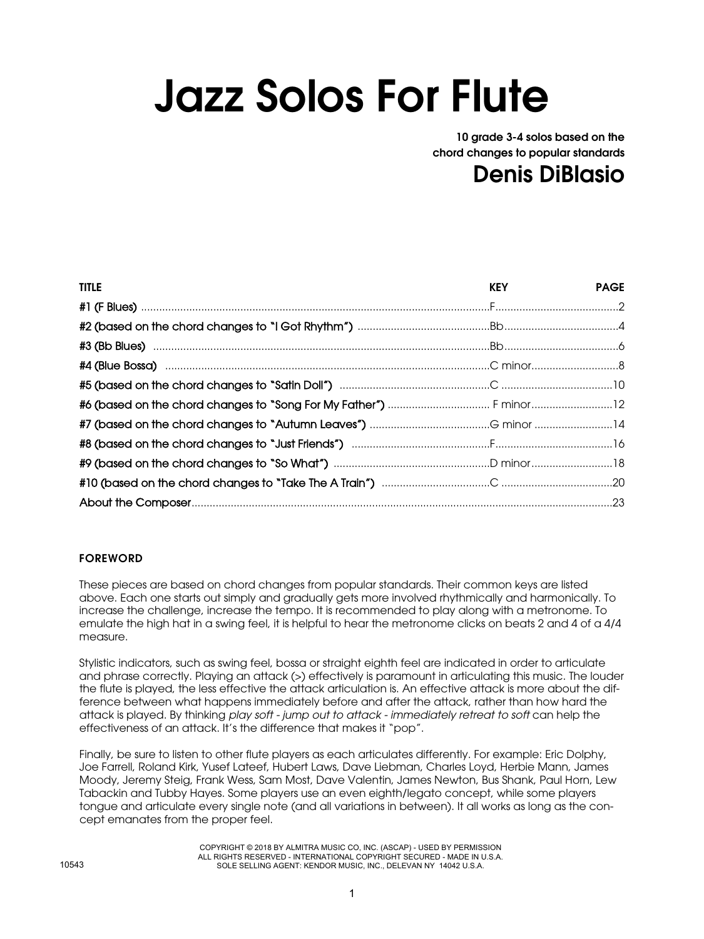## Jazz Solos For Flute

10 grade 3-4 solos based on the chord changes to popular standards

## Denis DiBlasio

| <b>TITLE</b>                                                                                                                                                                                                                  | <b>KEY EXECUTE AND RESPONSI</b> | <b>PAGE</b> |
|-------------------------------------------------------------------------------------------------------------------------------------------------------------------------------------------------------------------------------|---------------------------------|-------------|
|                                                                                                                                                                                                                               |                                 |             |
|                                                                                                                                                                                                                               |                                 |             |
|                                                                                                                                                                                                                               |                                 |             |
| #4 (Blue Bossa) manufacture membership of the control of the control of the control of the control of the control of the control of the control of the control of the control of the control of the control of the control of |                                 |             |
|                                                                                                                                                                                                                               |                                 |             |
|                                                                                                                                                                                                                               |                                 |             |
|                                                                                                                                                                                                                               |                                 |             |
|                                                                                                                                                                                                                               |                                 |             |
|                                                                                                                                                                                                                               |                                 |             |
|                                                                                                                                                                                                                               |                                 |             |
|                                                                                                                                                                                                                               |                                 |             |

## FOREWORD

These pieces are based on chord changes from popular standards. Their common keys are listed above. Each one starts out simply and gradually gets more involved rhythmically and harmonically. To increase the challenge, increase the tempo. It is recommended to play along with a metronome. To emulate the high hat in a swing feel, it is helpful to hear the metronome clicks on beats 2 and 4 of a 4/4 measure.

Stylistic indicators, such as swing feel, bossa or straight eighth feel are indicated in order to articulate and phrase correctly. Playing an attack (>) effectively is paramount in articulating this music. The louder the flute is played, the less effective the attack articulation is. An effective attack is more about the difference between what happens immediately before and after the attack, rather than how hard the attack is played. By thinking *play soft - jump out to attack - immediately retreat to soft* can help the effectiveness of an attack. It's the difference that makes it "pop".

Finally, be sure to listen to other flute players as each articulates differently. For example: Eric Dolphy, Joe Farrell, Roland Kirk, Yusef Lateef, Hubert Laws, Dave Liebman, Charles Loyd, Herbie Mann, James Moody, Jeremy Steig, Frank Wess, Sam Most, Dave Valentin, James Newton, Bus Shank, Paul Horn, Lew Tabackin and Tubby Hayes. Some players use an even eighth/legato concept, while some players tongue and articulate every single note (and all variations in between). It all works as long as the concept emanates from the proper feel.

> COPYRIGHT © 2018 BY ALMITRA MUSIC CO, INC. (ASCAP) - USED BY PERMISSION ALL RIGHTS RESERVED - INTERNATIONAL COPYRIGHT SECURED - MADE IN U.S.A. SOLE SELLING AGENT: KENDOR MUSIC, INC., DELEVAN NY 14042 U.S.A.